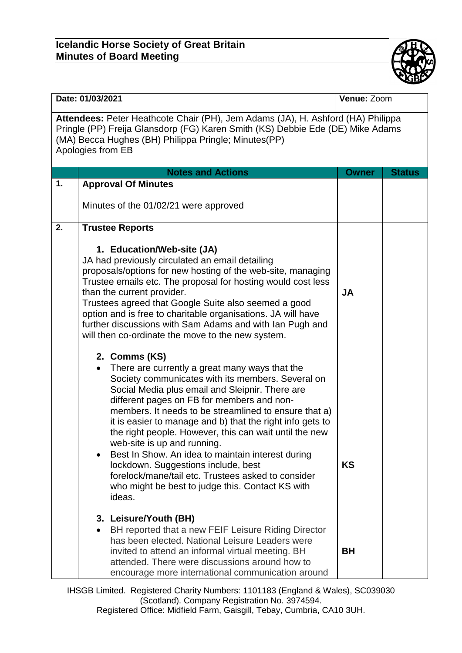## **Icelandic Horse Society of Great Britain Minutes of Board Meeting**



| Date: 01/03/2021                                                                                                                                                                                                                               |                                                                                                                                                                                                                                                                                                                                                                                                                                                                                                                                                                                                                                                                   | Venue: Zoom  |               |  |  |
|------------------------------------------------------------------------------------------------------------------------------------------------------------------------------------------------------------------------------------------------|-------------------------------------------------------------------------------------------------------------------------------------------------------------------------------------------------------------------------------------------------------------------------------------------------------------------------------------------------------------------------------------------------------------------------------------------------------------------------------------------------------------------------------------------------------------------------------------------------------------------------------------------------------------------|--------------|---------------|--|--|
| Attendees: Peter Heathcote Chair (PH), Jem Adams (JA), H. Ashford (HA) Philippa<br>Pringle (PP) Freija Glansdorp (FG) Karen Smith (KS) Debbie Ede (DE) Mike Adams<br>(MA) Becca Hughes (BH) Philippa Pringle; Minutes(PP)<br>Apologies from EB |                                                                                                                                                                                                                                                                                                                                                                                                                                                                                                                                                                                                                                                                   |              |               |  |  |
|                                                                                                                                                                                                                                                | <b>Notes and Actions</b>                                                                                                                                                                                                                                                                                                                                                                                                                                                                                                                                                                                                                                          | <b>Owner</b> | <b>Status</b> |  |  |
| 1.                                                                                                                                                                                                                                             | <b>Approval Of Minutes</b>                                                                                                                                                                                                                                                                                                                                                                                                                                                                                                                                                                                                                                        |              |               |  |  |
|                                                                                                                                                                                                                                                | Minutes of the 01/02/21 were approved                                                                                                                                                                                                                                                                                                                                                                                                                                                                                                                                                                                                                             |              |               |  |  |
| 2.                                                                                                                                                                                                                                             | <b>Trustee Reports</b>                                                                                                                                                                                                                                                                                                                                                                                                                                                                                                                                                                                                                                            |              |               |  |  |
|                                                                                                                                                                                                                                                | 1. Education/Web-site (JA)<br>JA had previously circulated an email detailing<br>proposals/options for new hosting of the web-site, managing<br>Trustee emails etc. The proposal for hosting would cost less<br>than the current provider.<br>Trustees agreed that Google Suite also seemed a good<br>option and is free to charitable organisations. JA will have<br>further discussions with Sam Adams and with Ian Pugh and<br>will then co-ordinate the move to the new system.                                                                                                                                                                               | <b>JA</b>    |               |  |  |
|                                                                                                                                                                                                                                                | 2. Comms (KS)<br>There are currently a great many ways that the<br>Society communicates with its members. Several on<br>Social Media plus email and Sleipnir. There are<br>different pages on FB for members and non-<br>members. It needs to be streamlined to ensure that a)<br>it is easier to manage and b) that the right info gets to<br>the right people. However, this can wait until the new<br>web-site is up and running.<br>Best In Show. An idea to maintain interest during<br>$\bullet$<br>lockdown. Suggestions include, best<br>forelock/mane/tail etc. Trustees asked to consider<br>who might be best to judge this. Contact KS with<br>ideas. | KS           |               |  |  |
|                                                                                                                                                                                                                                                | 3. Leisure/Youth (BH)<br>BH reported that a new FEIF Leisure Riding Director<br>has been elected. National Leisure Leaders were<br>invited to attend an informal virtual meeting. BH<br>attended. There were discussions around how to<br>encourage more international communication around                                                                                                                                                                                                                                                                                                                                                                       | <b>BH</b>    |               |  |  |

IHSGB Limited. Registered Charity Numbers: 1101183 (England & Wales), SC039030 (Scotland). Company Registration No. 3974594. Registered Office: Midfield Farm, Gaisgill, Tebay, Cumbria, CA10 3UH.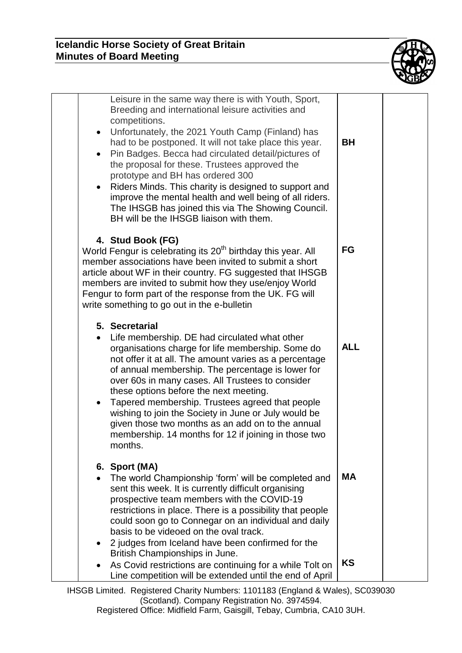

| Leisure in the same way there is with Youth, Sport,<br>Breeding and international leisure activities and<br>competitions.<br>Unfortunately, the 2021 Youth Camp (Finland) has<br>$\bullet$<br>had to be postponed. It will not take place this year.<br>Pin Badges. Becca had circulated detail/pictures of<br>$\bullet$<br>the proposal for these. Trustees approved the<br>prototype and BH has ordered 300<br>Riders Minds. This charity is designed to support and<br>$\bullet$<br>improve the mental health and well being of all riders.<br>The IHSGB has joined this via The Showing Council.<br>BH will be the IHSGB liaison with them. | <b>BH</b>              |  |
|-------------------------------------------------------------------------------------------------------------------------------------------------------------------------------------------------------------------------------------------------------------------------------------------------------------------------------------------------------------------------------------------------------------------------------------------------------------------------------------------------------------------------------------------------------------------------------------------------------------------------------------------------|------------------------|--|
| 4. Stud Book (FG)<br>World Fengur is celebrating its 20 <sup>th</sup> birthday this year. All<br>member associations have been invited to submit a short<br>article about WF in their country. FG suggested that IHSGB<br>members are invited to submit how they use/enjoy World<br>Fengur to form part of the response from the UK. FG will<br>write something to go out in the e-bulletin                                                                                                                                                                                                                                                     | FG                     |  |
| 5. Secretarial<br>Life membership. DE had circulated what other<br>organisations charge for life membership. Some do<br>not offer it at all. The amount varies as a percentage<br>of annual membership. The percentage is lower for<br>over 60s in many cases. All Trustees to consider<br>these options before the next meeting.<br>Tapered membership. Trustees agreed that people<br>$\bullet$<br>wishing to join the Society in June or July would be<br>given those two months as an add on to the annual<br>membership. 14 months for 12 if joining in those two<br>months.                                                               | <b>ALL</b>             |  |
| 6. Sport (MA)<br>The world Championship 'form' will be completed and<br>sent this week. It is currently difficult organising<br>prospective team members with the COVID-19<br>restrictions in place. There is a possibility that people<br>could soon go to Connegar on an individual and daily<br>basis to be videoed on the oval track.<br>2 judges from Iceland have been confirmed for the<br>British Championships in June.<br>As Covid restrictions are continuing for a while Tolt on                                                                                                                                                    | <b>MA</b><br><b>KS</b> |  |
| Line competition will be extended until the end of April                                                                                                                                                                                                                                                                                                                                                                                                                                                                                                                                                                                        |                        |  |

IHSGB Limited. Registered Charity Numbers: 1101183 (England & Wales), SC039030 (Scotland). Company Registration No. 3974594.

Registered Office: Midfield Farm, Gaisgill, Tebay, Cumbria, CA10 3UH.